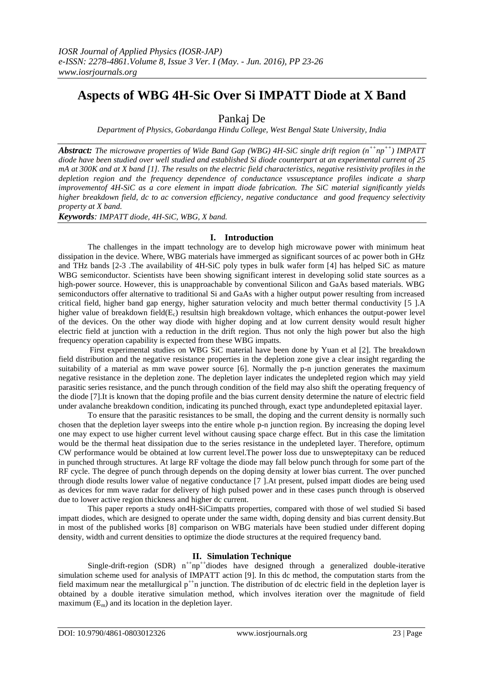# **Aspects of WBG 4H-Sic Over Si IMPATT Diode at X Band**

Pankaj De

*Department of Physics, Gobardanga Hindu College, West Bengal State University, India*

*Abstract: The microwave properties of Wide Band Gap (WBG) 4H-SiC single drift region (n++ np ++) IMPATT diode have been studied over well studied and established Si diode counterpart at an experimental current of 25 mA at 300K and at X band [1]. The results on the electric field characteristics, negative resistivity profiles in the depletion region and the frequency dependence of conductance vssusceptance profiles indicate a sharp improvementof 4H-SiC as a core element in impatt diode fabrication. The SiC material significantly yields higher breakdown field, dc to ac conversion efficiency, negative conductance and good frequency selectivity property at X band.*

*Keywords: IMPATT diode, 4H-SiC, WBG, X band.*

# **I. Introduction**

The challenges in the impatt technology are to develop high microwave power with minimum heat dissipation in the device. Where, WBG materials have immerged as significant sources of ac power both in GHz and THz bands [2-3 .The availability of 4H-SiC poly types in bulk wafer form [4] has helped SiC as mature WBG semiconductor. Scientists have been showing significant interest in developing solid state sources as a high-power source. However, this is unapproachable by conventional Silicon and GaAs based materials. WBG semiconductors offer alternative to traditional Si and GaAs with a higher output power resulting from increased critical field, higher band gap energy, higher saturation velocity and much better thermal conductivity [5 ].A higher value of breakdown field $(E_c)$  resultsin high breakdown voltage, which enhances the output-power level of the devices. On the other way diode with higher doping and at low current density would result higher electric field at junction with a reduction in the drift region. Thus not only the high power but also the high frequency operation capability is expected from these WBG impatts.

First experimental studies on WBG SiC material have been done by Yuan et al [2]. The breakdown field distribution and the negative resistance properties in the depletion zone give a clear insight regarding the suitability of a material as mm wave power source [6]. Normally the p-n junction generates the maximum negative resistance in the depletion zone. The depletion layer indicates the undepleted region which may yield parasitic series resistance, and the punch through condition of the field may also shift the operating frequency of the diode [7].It is known that the doping profile and the bias current density determine the nature of electric field under avalanche breakdown condition, indicating its punched through, exact type andundepleted epitaxial layer.

To ensure that the parasitic resistances to be small, the doping and the current density is normally such chosen that the depletion layer sweeps into the entire whole p-n junction region. By increasing the doping level one may expect to use higher current level without causing space charge effect. But in this case the limitation would be the thermal heat dissipation due to the series resistance in the undepleted layer. Therefore, optimum CW performance would be obtained at low current level.The power loss due to unsweptepitaxy can be reduced in punched through structures. At large RF voltage the diode may fall below punch through for some part of the RF cycle. The degree of punch through depends on the doping density at lower bias current. The over punched through diode results lower value of negative conductance [7 ].At present, pulsed impatt diodes are being used as devices for mm wave radar for delivery of high pulsed power and in these cases punch through is observed due to lower active region thickness and higher dc current.

This paper reports a study on4H-SiCimpatts properties, compared with those of wel studied Si based impatt diodes, which are designed to operate under the same width, doping density and bias current density.But in most of the published works [8] comparison on WBG materials have been studied under different doping density, width and current densities to optimize the diode structures at the required frequency band.

# **II. Simulation Technique**

Single-drift-region (SDR)  $n^{++}np^{+}$ diodes have designed through a generalized double-iterative simulation scheme used for analysis of IMPATT action [9]. In this dc method, the computation starts from the field maximum near the metallurgical  $p^{+n}$  junction. The distribution of dc electric field in the depletion layer is obtained by a double iterative simulation method, which involves iteration over the magnitude of field maximum  $(E_m)$  and its location in the depletion layer.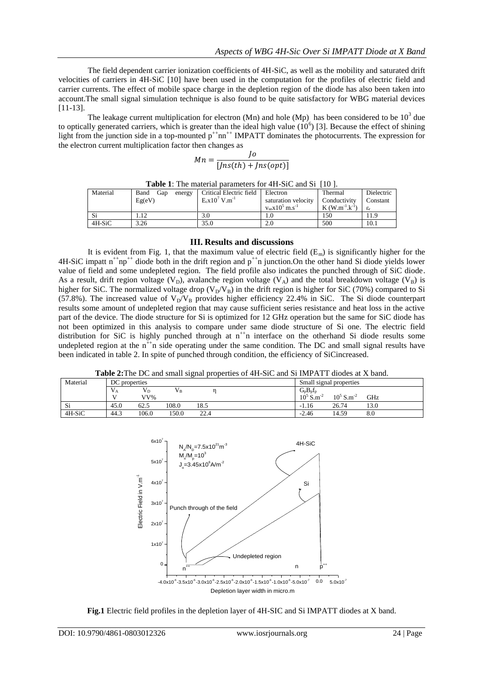The field dependent carrier ionization coefficients of 4H-SiC, as well as the mobility and saturated drift velocities of carriers in 4H-SiC [10] have been used in the computation for the profiles of electric field and carrier currents. The effect of mobile space charge in the depletion region of the diode has also been taken into account.The small signal simulation technique is also found to be quite satisfactory for WBG material devices [11-13].

The leakage current multiplication for electron (Mn) and hole (Mp) has been considered to be  $10^3$  due to optically generated carriers, which is greater than the ideal high value  $(10^6)$  [3]. Because the effect of shining light from the junction side in a top-mounted  $p^{+}$ nn<sup>++</sup> IMPATT dominates the photocurrents. The expression for the electron current multiplication factor then changes as

$$
Mn = \frac{Jo}{[Jns(th) + Jns(opt)]}
$$

| Material | Band<br>Gap<br>energy | Critical Electric field        | Electron                        | Thermal              | Dielectric            |
|----------|-----------------------|--------------------------------|---------------------------------|----------------------|-----------------------|
|          | Eg(eV)                | $E_c x 10^7$ V.m <sup>-1</sup> | saturation velocity             | Conductivity         | Constant              |
|          |                       |                                | $v_{sn}x10^5$ m.s <sup>-1</sup> | $K(W.m^{-1}.k^{-1})$ | $\varepsilon_{\rm r}$ |
| Si       |                       | 3.0                            | 1.0                             | 150                  | 11.9                  |
| 4H-SiC   | 3.26                  | 35.0                           | 2.0                             | 500                  | 10.1                  |

**Table 1**: The material parameters for 4H-SiC and Si [10 ].

### **III. Results and discussions**

It is evident from Fig. 1, that the maximum value of electric field  $(E_m)$  is significantly higher for the  $4H-SiC$  impatt  $n^{++}np^{++}$  diode both in the drift region and  $p^{++}n$  junction. On the other hand Si diode yields lower value of field and some undepleted region. The field profile also indicates the punched through of SiC diode. As a result, drift region voltage (V<sub>D</sub>), avalanche region voltage (V<sub>A</sub>) and the total breakdown voltage (V<sub>B</sub>) is higher for SiC. The normalized voltage drop  $(V_D/V_B)$  in the drift region is higher for SiC (70%) compared to Si (57.8%). The increased value of  $V_D/V_B$  provides higher efficiency 22.4% in SiC. The Si diode counterpart results some amount of undepleted region that may cause sufficient series resistance and heat loss in the active part of the device. The diode structure for Si is optimized for 12 GHz operation but the same for SiC diode has not been optimized in this analysis to compare under same diode structure of Si one. The electric field distribution for SiC is highly punched through at  $n^{+}n$  interface on the otherhand Si diode results some undepleted region at the  $n^{+}$ n side operating under the same condition. The DC and small signal results have been indicated in table 2. In spite of punched through condition, the efficiency of SiCincreased.

**Table 2:**The DC and small signal properties of 4H-SiC and Si IMPATT diodes at X band.

| Material         | DC properties |       |       |      |  | Small signal properties |                                             |      |
|------------------|---------------|-------|-------|------|--|-------------------------|---------------------------------------------|------|
|                  | ۰.<br>vа      | Vр    | Vв    |      |  | $G_p B_p f_p$           |                                             |      |
|                  | $\mathbf{v}$  | VV%   |       |      |  | 10 <sup>5</sup><br>'S.m | 10 <sup>5</sup><br>$\sim$ S.m <sup>-2</sup> | GHz  |
| $\sim$ :<br>- S1 | 45.0          | 62.5  | 108.0 | 18.5 |  | 1.16<br>- 1             | 26.74                                       | 13.0 |
| 4H-SiC           | 44.3          | 106.0 | 150.0 | 22.4 |  | $-2.46$                 | 14.59                                       | 8.0  |



**Fig.1** Electric field profiles in the depletion layer of 4H-SIC and Si IMPATT diodes at X band.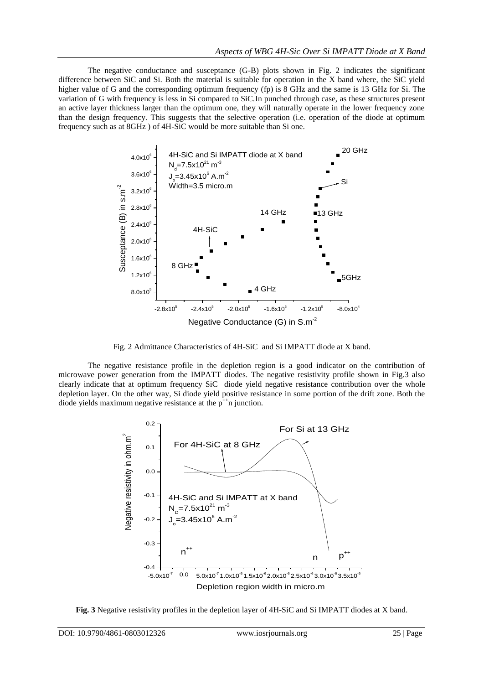The negative conductance and susceptance (G-B) plots shown in Fig. 2 indicates the significant difference between SiC and Si. Both the material is suitable for operation in the X band where, the SiC yield higher value of G and the corresponding optimum frequency (fp) is 8 GHz and the same is 13 GHz for Si. The variation of G with frequency is less in Si compared to SiC.In punched through case, as these structures present an active layer thickness larger than the optimum one, they will naturally operate in the lower frequency zone than the design frequency. This suggests that the selective operation (i.e. operation of the diode at optimum frequency such as at 8GHz ) of 4H-SiC would be more suitable than Si one.



Fig. 2 Admittance Characteristics of 4H-SiC and Si IMPATT diode at X band.

The negative resistance profile in the depletion region is a good indicator on the contribution of microwave power generation from the IMPATT diodes. The negative resistivity profile shown in Fig.3 also clearly indicate that at optimum frequency SiC diode yield negative resistance contribution over the whole depletion layer. On the other way, Si diode yield positive resistance in some portion of the drift zone. Both the diode yields maximum negative resistance at the  $p^{+}$ n junction.



**Fig. 3** Negative resistivity profiles in the depletion layer of 4H-SiC and Si IMPATT diodes at X band.